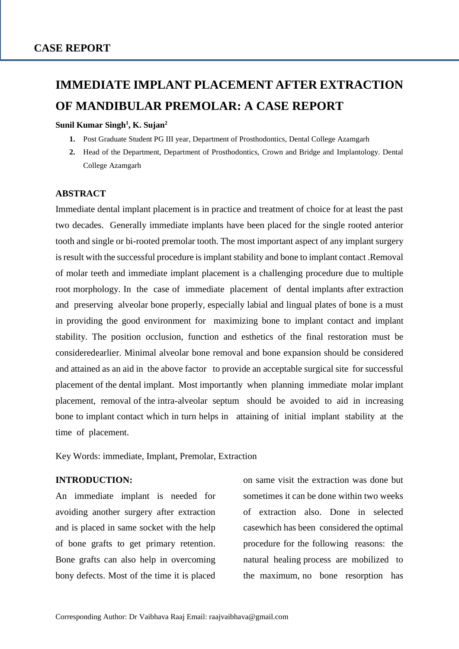# **IMMEDIATE IMPLANT PLACEMENT AFTER EXTRACTION OF MANDIBULAR PREMOLAR: A CASE REPORT**

## **Sunil Kumar Singh<sup>1</sup> , K. Sujan<sup>2</sup>**

- **1.** Post Graduate Student PG III year, Department of Prosthodontics, Dental College Azamgarh
- **2.** Head of the Department, Department of Prosthodontics, Crown and Bridge and Implantology. Dental College Azamgarh

## **ABSTRACT**

Immediate dental implant placement is in practice and treatment of choice for at least the past two decades. Generally immediate implants have been placed for the single rooted anterior tooth and single or bi-rooted premolar tooth. The most important aspect of any implant surgery is result with the successful procedure is implant stability and bone to implant contact .Removal of molar teeth and immediate implant placement is a challenging procedure due to multiple root morphology. In the case of immediate placement of dental implants after extraction and preserving alveolar bone properly, especially labial and lingual plates of bone is a must in providing the good environment for maximizing bone to implant contact and implant stability. The position occlusion, function and esthetics of the final restoration must be consideredearlier. Minimal alveolar bone removal and bone expansion should be considered and attained as an aid in the above factor to provide an acceptable surgical site for successful placement of the dental implant. Most importantly when planning immediate molar implant placement, removal of the intra-alveolar septum should be avoided to aid in increasing bone to implant contact which in turn helps in attaining of initial implant stability at the time of placement.

Key Words: immediate, Implant, Premolar, Extraction

# **INTRODUCTION:**

An immediate implant is needed for avoiding another surgery after extraction and is placed in same socket with the help of bone grafts to get primary retention. Bone grafts can also help in overcoming bony defects. Most of the time it is placed on same visit the extraction was done but sometimes it can be done within two weeks of extraction also. Done in selected casewhich has been considered the optimal procedure for the following reasons: the natural healing process are mobilized to the maximum, no bone resorption has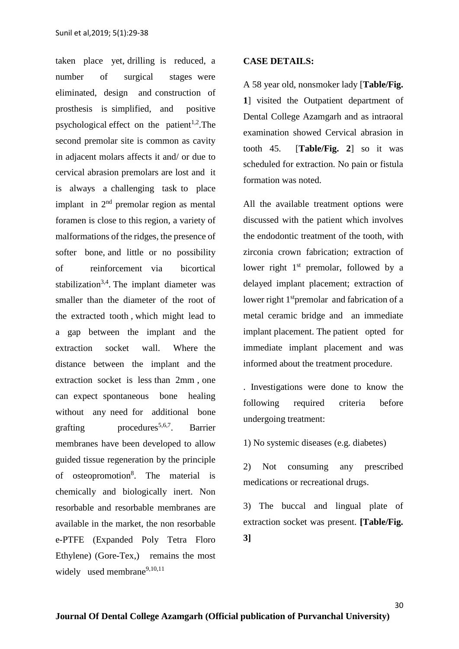taken place yet, drilling is reduced, a number of surgical stages were eliminated, design and construction of prosthesis is simplified, and positive psychological effect on the patient<sup>1,2</sup>. The second premolar site is common as cavity in adjacent molars affects it and/ or due to cervical abrasion premolars are lost and it is always a challenging task to place implant in  $2<sup>nd</sup>$  premolar region as mental foramen is close to this region, a variety of malformations of the ridges, the presence of softer bone, and little or no possibility of reinforcement via bicortical stabilization<sup>3,4</sup>. The implant diameter was smaller than the diameter of the root of the extracted tooth , which might lead to a gap between the implant and the extraction socket wall. Where the distance between the implant and the extraction socket is less than 2mm , one can expect spontaneous bone healing without any need for additional bone  $eraffing$  procedures<sup>5,6,7</sup>. . Barrier membranes have been developed to allow guided tissue regeneration by the principle of osteopromotion<sup>8</sup>. The material is chemically and biologically inert. Non resorbable and resorbable membranes are available in the market, the non resorbable e-PTFE (Expanded Poly Tetra Floro Ethylene) (Gore-Tex,) remains the most widely used membrane<sup>9,10,11</sup>

#### **CASE DETAILS:**

A 58 year old, nonsmoker lady [**Table/Fig. 1**] visited the Outpatient department of Dental College Azamgarh and as intraoral examination showed Cervical abrasion in tooth 45. [**Table/Fig. 2**] so it was scheduled for extraction. No pain or fistula formation was noted.

All the available treatment options were discussed with the patient which involves the endodontic treatment of the tooth, with zirconia crown fabrication; extraction of lower right 1<sup>st</sup> premolar, followed by a delayed implant placement; extraction of lower right  $1<sup>st</sup>$ premolar and fabrication of a metal ceramic bridge and an immediate implant placement. The patient opted for immediate implant placement and was informed about the treatment procedure.

. Investigations were done to know the following required criteria before undergoing treatment:

1) No systemic diseases (e.g. diabetes)

2) Not consuming any prescribed medications or recreational drugs.

3) The buccal and lingual plate of extraction socket was present. **[Table/Fig. 3]**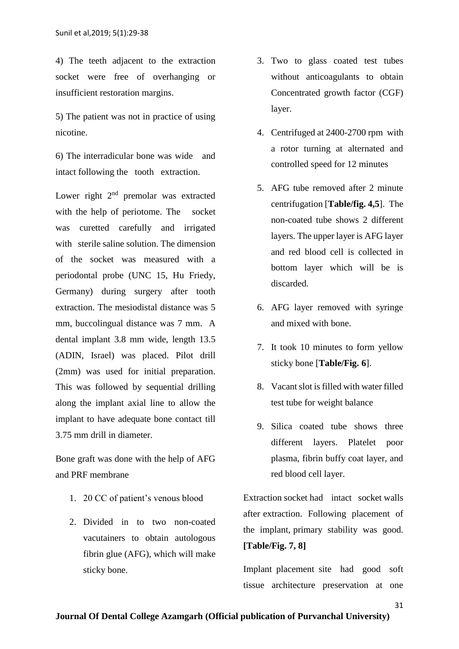4) The teeth adjacent to the extraction socket were free of overhanging or insufficient restoration margins.

5) The patient was not in practice of using nicotine.

6) The interradicular bone was wide and intact following the tooth extraction.

Lower right  $2<sup>nd</sup>$  premolar was extracted with the help of periotome. The socket was curetted carefully and irrigated with sterile saline solution. The dimension of the socket was measured with a periodontal probe (UNC 15, Hu Friedy, Germany) during surgery after tooth extraction. The mesiodistal distance was 5 mm, buccolingual distance was 7 mm. A dental implant 3.8 mm wide, length 13.5 (ADIN, Israel) was placed. Pilot drill (2mm) was used for initial preparation. This was followed by sequential drilling along the implant axial line to allow the implant to have adequate bone contact till 3.75 mm drill in diameter.

Bone graft was done with the help of AFG and PRF membrane

- 1. 20 CC of patient's venous blood
- 2. Divided in to two non-coated vacutainers to obtain autologous fibrin glue (AFG), which will make sticky bone.
- 3. Two to glass coated test tubes without anticoagulants to obtain Concentrated growth factor (CGF) layer.
- 4. Centrifuged at 2400-2700 rpm with a rotor turning at alternated and controlled speed for 12 minutes
- 5. AFG tube removed after 2 minute centrifugation [**Table/fig. 4,5**]. The non-coated tube shows 2 different layers. The upper layer is AFG layer and red blood cell is collected in bottom layer which will be is discarded.
- 6. AFG layer removed with syringe and mixed with bone.
- 7. It took 10 minutes to form yellow sticky bone [**Table/Fig. 6**].
- 8. Vacant slot is filled with water filled test tube for weight balance
- 9. Silica coated tube shows three different layers. Platelet poor plasma, fibrin buffy coat layer, and red blood cell layer.

Extraction socket had intact socket walls after extraction. Following placement of the implant, primary stability was good. **[Table/Fig. 7, 8]**

Implant placement site had good soft tissue architecture preservation at one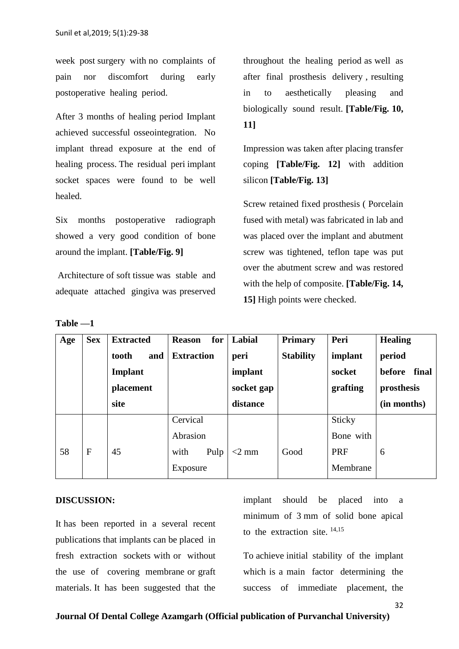week post surgery with no complaints of pain nor discomfort during early postoperative healing period.

After 3 months of healing period Implant achieved successful osseointegration. No implant thread exposure at the end of healing process. The residual peri implant socket spaces were found to be well healed.

Six months postoperative radiograph showed a very good condition of bone around the implant. **[Table/Fig. 9]**

Architecture of soft tissue was stable and adequate attached gingiva was preserved

| anı<br>K |  |
|----------|--|
|----------|--|

throughout the healing period as well as after final prosthesis delivery , resulting in to aesthetically pleasing and biologically sound result. **[Table/Fig. 10, 11]**

Impression was taken after placing transfer coping **[Table/Fig. 12]** with addition silicon **[Table/Fig. 13]**

Screw retained fixed prosthesis ( Porcelain fused with metal) was fabricated in lab and was placed over the implant and abutment screw was tightened, teflon tape was put over the abutment screw and was restored with the help of composite. **[Table/Fig. 14, 15]** High points were checked.

| Age | <b>Sex</b> | <b>Extracted</b> | for<br><b>Reason</b> | Labial     | <b>Primary</b>   | Peri       | <b>Healing</b>  |
|-----|------------|------------------|----------------------|------------|------------------|------------|-----------------|
|     |            | and<br>tooth     | <b>Extraction</b>    | peri       | <b>Stability</b> | implant    | period          |
|     |            | Implant          |                      | implant    |                  | socket     | final<br>before |
|     |            | placement        |                      | socket gap |                  | grafting   | prosthesis      |
|     |            | site             |                      | distance   |                  |            | (in months)     |
|     |            |                  | Cervical             |            |                  | Sticky     |                 |
|     |            |                  | Abrasion             |            |                  | Bone with  |                 |
| 58  | F          | 45               | with<br>Pulp         | $<$ 2 mm   | Good             | <b>PRF</b> | 6               |
|     |            |                  | Exposure             |            |                  | Membrane   |                 |

#### **DISCUSSION:**

It has been reported in a several recent publications that implants can be placed in fresh extraction sockets with or without the use of covering membrane or graft materials. It has been suggested that the

implant should be placed into a minimum of 3 mm of solid bone apical to the extraction site. 14,15

To achieve initial stability of the implant which is a main factor determining the success of immediate placement, the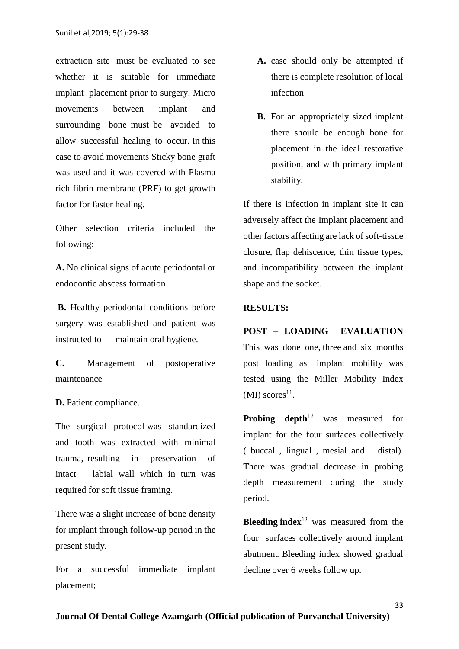extraction site must be evaluated to see whether it is suitable for immediate implant placement prior to surgery. Micro movements between implant and surrounding bone must be avoided to allow successful healing to occur. In this case to avoid movements Sticky bone graft was used and it was covered with Plasma rich fibrin membrane (PRF) to get growth factor for faster healing.

Other selection criteria included the following:

**A.** No clinical signs of acute periodontal or endodontic abscess formation

**B.** Healthy periodontal conditions before surgery was established and patient was instructed to maintain oral hygiene.

**C.** Management of postoperative maintenance

#### **D.** Patient compliance.

The surgical protocol was standardized and tooth was extracted with minimal trauma, resulting in preservation of intact labial wall which in turn was required for soft tissue framing.

There was a slight increase of bone density for implant through follow-up period in the present study.

For a successful immediate implant placement;

- **A.** case should only be attempted if there is complete resolution of local infection
- **B.** For an appropriately sized implant there should be enough bone for placement in the ideal restorative position, and with primary implant stability.

If there is infection in implant site it can adversely affect the Implant placement and other factors affecting are lack of soft-tissue closure, flap dehiscence, thin tissue types, and incompatibility between the implant shape and the socket.

# **RESULTS:**

#### **POST – LOADING EVALUATION**

This was done one, three and six months post loading as implant mobility was tested using the Miller Mobility Index  $(MI)$  scores<sup>11</sup>.

**Probing depth**<sup>12</sup> was measured for implant for the four surfaces collectively ( buccal , lingual , mesial and distal). There was gradual decrease in probing depth measurement during the study period.

Bleeding index<sup>12</sup> was measured from the four surfaces collectively around implant abutment. Bleeding index showed gradual decline over 6 weeks follow up.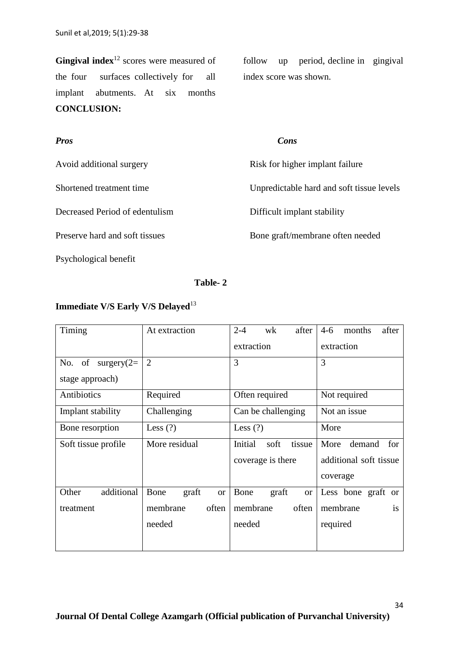Gingival index<sup>12</sup> scores were measured of the four surfaces collectively for all implant abutments. At six months **CONCLUSION:**

follow up period, decline in gingival index score was shown.

| <b>Pros</b>                    | Cons                                      |
|--------------------------------|-------------------------------------------|
| Avoid additional surgery       | Risk for higher implant failure           |
| Shortened treatment time       | Unpredictable hard and soft tissue levels |
| Decreased Period of edentulism | Difficult implant stability               |
| Preserve hard and soft tissues | Bone graft/membrane often needed          |
| Psychological benefit          |                                           |

# **Table- 2**

# **Immediate V/S Early V/S Delayed**<sup>13</sup>

| Timing               | At extraction              | $2 - 4$<br>wk<br>after     | after<br>$4-6$<br>months         |  |
|----------------------|----------------------------|----------------------------|----------------------------------|--|
|                      |                            | extraction                 | extraction                       |  |
| No. of surgery $(2=$ | $\overline{2}$             | 3                          | 3                                |  |
| stage approach)      |                            |                            |                                  |  |
| Antibiotics          | Required                   | Often required             | Not required                     |  |
| Implant stability    | Challenging                | Can be challenging         | Not an issue                     |  |
| Bone resorption      | Less $(?)$                 | Less $(?)$                 | More                             |  |
| Soft tissue profile  | More residual              | Initial<br>tissue<br>soft  | demand<br>for<br>More            |  |
|                      |                            | coverage is there          | additional soft tissue           |  |
|                      |                            |                            | coverage                         |  |
| additional<br>Other  | Bone<br>graft<br><b>or</b> | Bone<br>graft<br><b>or</b> | Less bone graft<br><sub>or</sub> |  |
| treatment            | membrane<br>often          | often<br>membrane          | membrane<br>$\overline{1}S$      |  |
|                      | needed                     | needed                     | required                         |  |
|                      |                            |                            |                                  |  |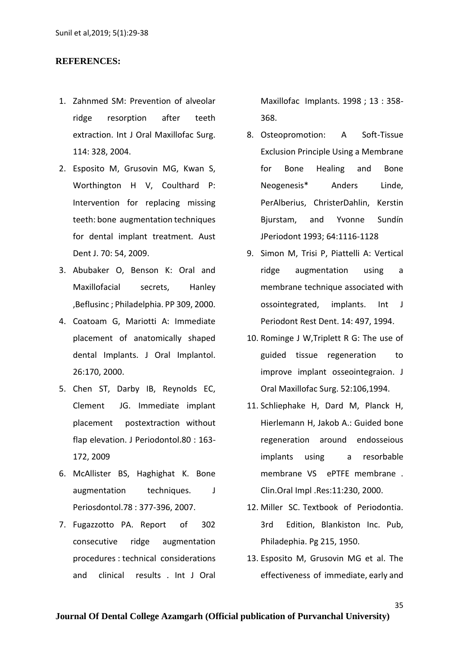#### **REFERENCES:**

- 1. Zahnmed SM: Prevention of alveolar ridge resorption after teeth extraction. Int J Oral Maxillofac Surg. 114: 328, 2004.
- 2. Esposito M, Grusovin MG, Kwan S, Worthington H V, Coulthard P: Intervention for replacing missing teeth: bone augmentation techniques for dental implant treatment. Aust Dent J. 70: 54, 2009.
- 3. Abubaker O, Benson K: Oral and Maxillofacial secrets, Hanley ,Beflusinc ; Philadelphia. PP 309, 2000.
- 4. Coatoam G, Mariotti A: Immediate placement of anatomically shaped dental Implants. J Oral Implantol. 26:170, 2000.
- 5. Chen ST, Darby IB, Reynolds EC, Clement JG. Immediate implant placement postextraction without flap elevation. J Periodontol.80 : 163- 172, 2009
- 6. McAllister BS, Haghighat K. Bone augmentation techniques. J Periosdontol.78 : 377-396, 2007.
- 7. Fugazzotto PA. Report of 302 consecutive ridge augmentation procedures : technical considerations and clinical results . Int J Oral

Maxillofac Implants. 1998 ; 13 : 358- 368.

- 8. Osteopromotion: A Soft-Tissue Exclusion Principle Using a Membrane for Bone Healing and Bone Neogenesis\* Anders Linde, PerAlberius, ChristerDahlin, Kerstin Bjurstam, and Yvonne Sundín JPeriodont 1993; 64:1116-1128
- 9. Simon M, Trisi P, Piattelli A: Vertical ridge augmentation using a membrane technique associated with ossointegrated, implants. Int J Periodont Rest Dent. 14: 497, 1994.
- 10. Rominge J W,Triplett R G: The use of guided tissue regeneration to improve implant osseointegraion. J Oral Maxillofac Surg. 52:106,1994.
- 11. Schliephake H, Dard M, Planck H, Hierlemann H, Jakob A.: Guided bone regeneration around endosseious implants using a resorbable membrane VS ePTFE membrane . Clin.Oral Impl .Res:11:230, 2000.
- 12. Miller SC. Textbook of Periodontia. 3rd Edition, Blankiston Inc. Pub, Philadephia. Pg 215, 1950.
- 13. Esposito M, Grusovin MG et al. The effectiveness of immediate, early and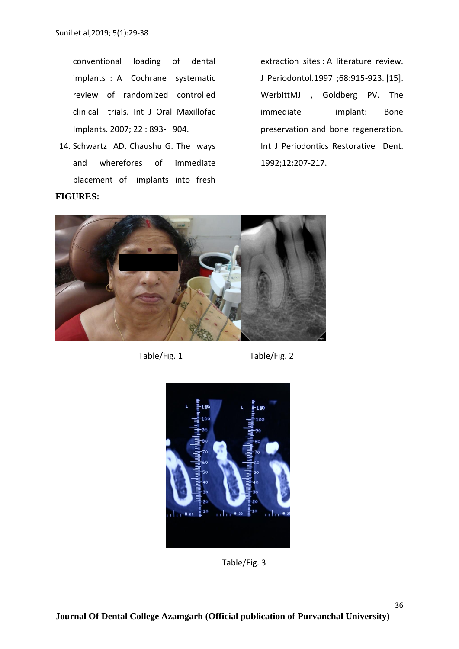conventional loading of dental implants : A Cochrane systematic review of randomized controlled clinical trials. Int J Oral Maxillofac Implants. 2007; 22 : 893- 904.

14. Schwartz AD, Chaushu G. The ways and wherefores of immediate placement of implants into fresh **FIGURES:**

extraction sites : A literature review. J Periodontol.1997 ;68:915-923. [15]. WerbittMJ , Goldberg PV. The immediate implant: Bone preservation and bone regeneration. Int J Periodontics Restorative Dent. 1992;12:207-217.



Table/Fig. 1 Table/Fig. 2



Table/Fig. 3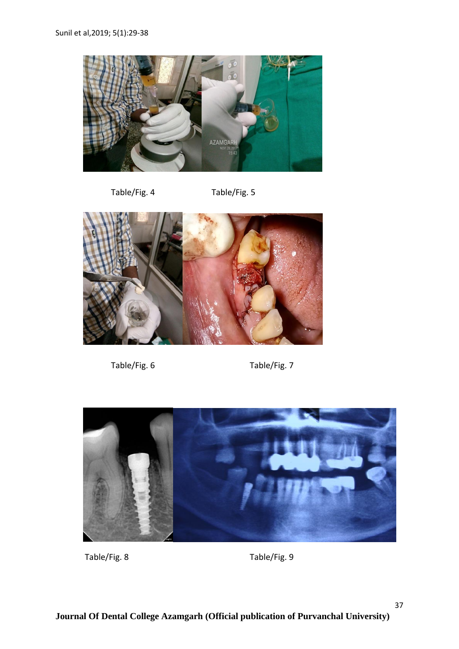

Table/Fig. 4 Table/Fig. 5



Table/Fig. 6 Table/Fig. 7



Table/Fig. 8 Table/Fig. 9